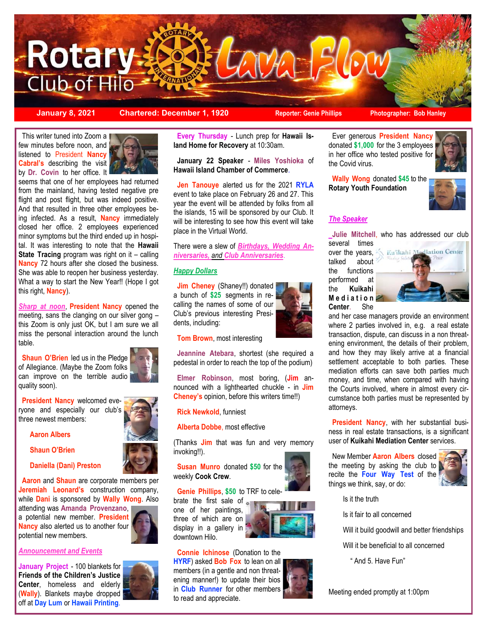

**January 8, 2021 Chartered: December 1, 1920 Reporter: Genie Phillips** Photographer: Bob Hanley

This writer tuned into Zoom a few minutes before noon, and listened to President **Nancy Cabral's** describing the visit by **Dr. Covin** to her office. It



seems that one of her employees had returned from the mainland, having tested negative pre flight and post flight, but was indeed positive. And that resulted in three other employees being infected. As a result, **Nancy** immediately closed her office. 2 employees experienced minor symptoms but the third ended up in hospital. It was interesting to note that the **Hawaii State Tracing** program was right on it – calling **Nancy** 72 hours after she closed the business. She was able to reopen her business yesterday. What a way to start the New Year!! (Hope I got this right, **Nancy**).

*Sharp at noon*, **President Nancy** opened the meeting, sans the clanging on our silver gong – this Zoom is only just OK, but I am sure we all miss the personal interaction around the lunch table.

**Shaun O'Brien** led us in the Pledge of Allegiance. (Maybe the Zoom folks can improve on the terrible audio quality soon).

 **President Nancy** welcomed everyone and especially our club's three newest members:

**Aaron Albers** 

**Shaun O'Brien** 

**Daniella (Dani) Preston**

 **Aaron** and **Shaun** are corporate members per **Jeremiah Leonard's** construction company, while **Dani** is sponsored by **Wally Wong**. Also

attending was **Amanda Provenzano**, a potential new member. **President Nancy** also alerted us to another four potential new members.

*Announcement and Events*

**January Project** - 100 blankets for **Friends of the Children's Justice Center**, homeless and elderly (**Wally**). Blankets maybe dropped off at **Day Lum** or **Hawaii Printing**.



 **Every Thursday** - Lunch prep for **Hawaii Island Home for Recovery** at 10:30am.

 **January 22 Speaker** - **Miles Yoshioka** of **Hawaii Island Chamber of Commerce**.

 **Jen Tanouye** alerted us for the 2021 **RYLA** event to take place on February 26 and 27. This year the event will be attended by folks from all the islands, 15 will be sponsored by our Club. It will be interesting to see how this event will take place in the Virtual World.

There were a slew of *Birthdays, Wedding Anniversaries, and Club Anniversaries*.

### *Happy Dollars*

**Jim Cheney** (Shaney!!) donated a bunch of **\$25** segments in recalling the names of some of our Club's previous interesting Presidents, including:



 **Tom Brown**, most interesting

 **Jeannine Atebara**, shortest (she required a pedestal in order to reach the top of the podium)

 **Elmer Robinson**, most boring, (**Jim** announced with a lighthearted chuckle - in **Jim Cheney's** opinion, before this writers time!!)

 **Rick Newkold**, funniest

 **Alberta Dobbe**, most effective

(Thanks **Jim** that was fun and very memory invoking!!).

 **Susan Munro** donated **\$50** for the weekly **Cook Crew**.

### **Genie Phillips**, **\$50** to TRF to cele-

brate the first sale of  $\overline{a}$ one of her paintings, three of which are on display in a gallery in downtown Hilo.



 **Connie Ichinose** (Donation to the **HYRF**) asked **Bob Fox** to lean on all members (in a gentle and non threatening manner!) to update their bios in **Club Runner** for other members to read and appreciate.

 Ever generous **President Nancy** donated **\$1,000** for the 3 employees in her office who tested positive for the Covid virus.

 **Wally Wong** donated **\$45** to the **Rotary Youth Foundation**



### *The Speaker*

**Julie Mitchell**, who has addressed our club several times

talked about the functions performed at the **Kuikahi M e d i a t i o n Center**. She



and her case managers provide an environment where 2 parties involved in, e.g. a real estate transaction, dispute, can discuss in a non threatening environment, the details of their problem, and how they may likely arrive at a financial settlement acceptable to both parties. These mediation efforts can save both parties much money, and time, when compared with having the Courts involved, where in almost every circumstance both parties must be represented by attorneys.

 **President Nancy**, with her substantial business in real estate transactions, is a significant user of **Kuikahi Mediation Center** services.

 New Member **Aaron Albers** closed the meeting by asking the club to recite the **Four Way Test** of the things we think, say, or do:



Is it the truth

Is it fair to all concerned

- Will it build goodwill and better friendships
- Will it be beneficial to all concerned
	- " And 5. Have Fun"